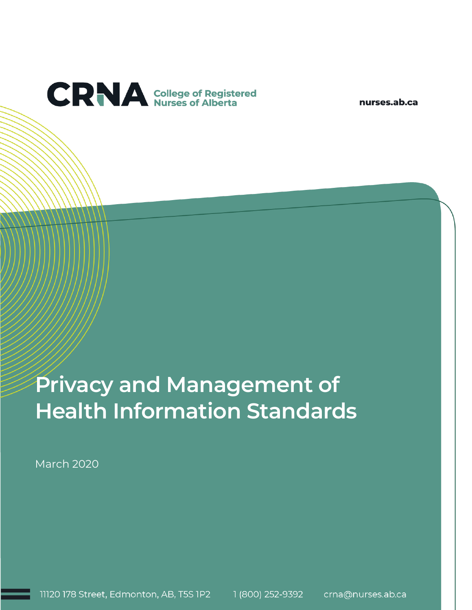

nurses.ab.ca

# **Privacy and Management of Health Information Standards**

March 2020

11120 178 Street, Edmonton, AB, T5S 1P2 1 (800) 252-9392 crna@nurses.ab.ca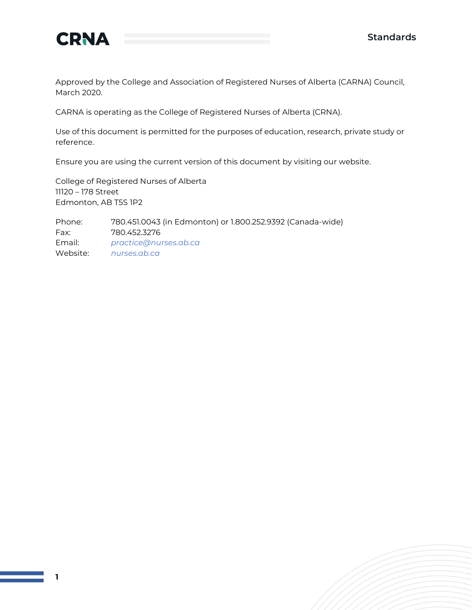



Approved by the College and Association of Registered Nurses of Alberta (CARNA) Council, March 2020.

CARNA is operating as the College of Registered Nurses of Alberta (CRNA).

Use of this document is permitted for the purposes of education, research, private study or reference.

Ensure you are using the current version of this document by visiting our website.

College of Registered Nurses of Alberta 11120 – 178 Street Edmonton, AB T5S 1P2

Phone: 780.451.0043 (in Edmonton) or 1.800.252.9392 (Canada-wide) Fax: 780.452.3276 Email: *[practice@nurses.ab.ca](mailto:practice@nurses.ab.ca)* Website: *[nurses.ab.ca](http://www.nurses.ab.ca/)*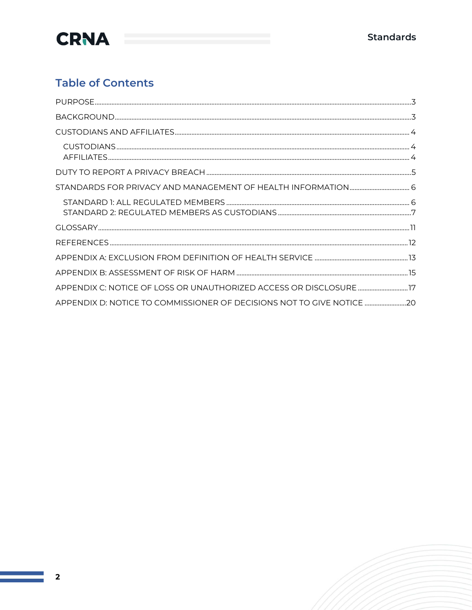

### **Table of Contents**

| APPENDIX C: NOTICE OF LOSS OR UNAUTHORIZED ACCESS OR DISCLOSURE 77    |  |
|-----------------------------------------------------------------------|--|
| APPENDIX D: NOTICE TO COMMISSIONER OF DECISIONS NOT TO GIVE NOTICE 20 |  |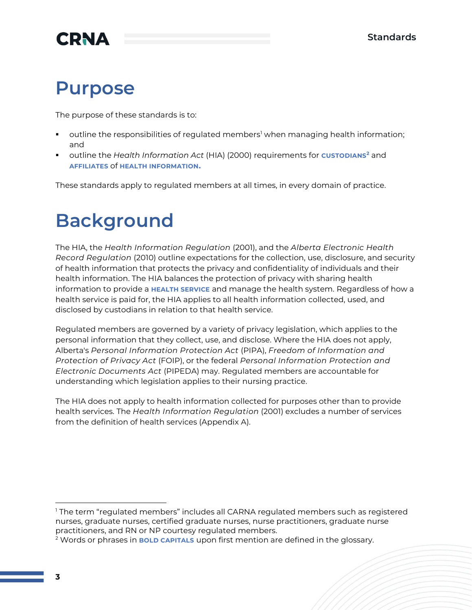## **Purpose**

The purpose of these standards is to:

- outline the responsibilities of regulated members<sup>1</sup> when managing health information; and
- outline the *Health Information Act* (HIA) (2000) requirements for **CUSTODIANS<sup>2</sup>** and **AFFILIATES** of **HEALTH INFORMATION.**

These standards apply to regulated members at all times, in every domain of practice.

# **Background**

The HIA, the *Health Information Regulation* (2001), and the *Alberta Electronic Health Record Regulation* (2010) outline expectations for the collection, use, disclosure, and security of health information that protects the privacy and confidentiality of individuals and their health information. The HIA balances the protection of privacy with sharing health information to provide a **HEALTH SERVICE** and manage the health system. Regardless of how a health service is paid for, the HIA applies to all health information collected, used, and disclosed by custodians in relation to that health service.

Regulated members are governed by a variety of privacy legislation, which applies to the personal information that they collect, use, and disclose. Where the HIA does not apply, Alberta's *Personal Information Protection Act* (PIPA), *Freedom of Information and Protection of Privacy Act* (FOIP), or the federal *Personal Information Protection and Electronic Documents Act* (PIPEDA) may. Regulated members are accountable for understanding which legislation applies to their nursing practice.

The HIA does not apply to health information collected for purposes other than to provide health services. The *Health Information Regulation* (2001) excludes a number of services from the definition of health services (Appendix A).

<sup>1</sup> The term "regulated members" includes all CARNA regulated members such as registered nurses, graduate nurses, certified graduate nurses, nurse practitioners, graduate nurse practitioners, and RN or NP courtesy regulated members.

<sup>2</sup> Words or phrases in **BOLD CAPITALS** upon first mention are defined in the glossary.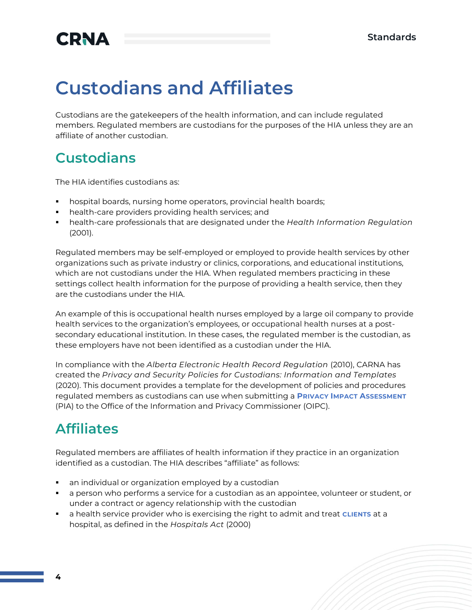# **Custodians and Affiliates**

Custodians are the gatekeepers of the health information, and can include regulated members. Regulated members are custodians for the purposes of the HIA unless they are an affiliate of another custodian.

### **Custodians**

The HIA identifies custodians as:

- hospital boards, nursing home operators, provincial health boards;
- health-care providers providing health services; and
- health-care professionals that are designated under the *Health Information Regulation* (2001).

Regulated members may be self-employed or employed to provide health services by other organizations such as private industry or clinics, corporations, and educational institutions, which are not custodians under the HIA. When regulated members practicing in these settings collect health information for the purpose of providing a health service, then they are the custodians under the HIA.

An example of this is occupational health nurses employed by a large oil company to provide health services to the organization's employees, or occupational health nurses at a postsecondary educational institution. In these cases, the regulated member is the custodian, as these employers have not been identified as a custodian under the HIA.

In compliance with the *Alberta Electronic Health Record Regulation* (2010), CARNA has created the *Privacy and Security Policies for Custodians: Information and Templates* (2020). This document provides a template for the development of policies and procedures regulated members as custodians can use when submitting a **PRIVACY IMPACT ASSESSMENT** (PIA) to the Office of the Information and Privacy Commissioner (OIPC).

## **Affiliates**

Regulated members are affiliates of health information if they practice in an organization identified as a custodian. The HIA describes "affiliate" as follows:

- an individual or organization employed by a custodian
- a person who performs a service for a custodian as an appointee, volunteer or student, or under a contract or agency relationship with the custodian
- a health service provider who is exercising the right to admit and treat **CLIENTS** at a hospital, as defined in the *Hospitals Act* (2000)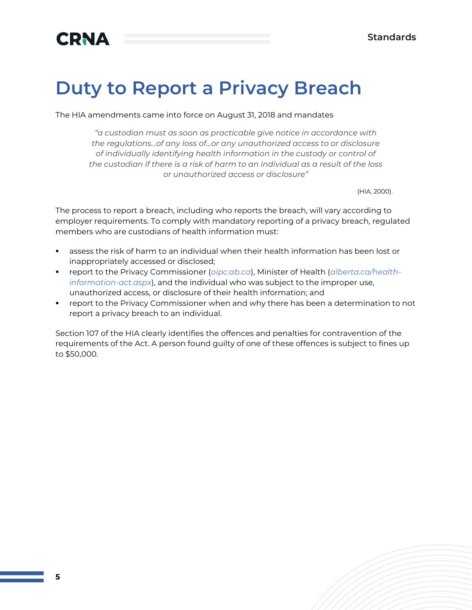# **Duty to Report a Privacy Breach**

The HIA amendments came into force on August 31, 2018 and mandates

*"a custodian must as soon as practicable give notice in accordance with the regulations…of any loss of…or any unauthorized access to or disclosure of individually identifying health information in the custody or control of the custodian if there is a risk of harm to an individual as a result of the loss or unauthorized access or disclosure"* 

(HIA, 2000).

The process to report a breach, including who reports the breach, will vary according to employer requirements. To comply with mandatory reporting of a privacy breach, regulated members who are custodians of health information must:

- assess the risk of harm to an individual when their health information has been lost or inappropriately accessed or disclosed;
- report to the Privacy Commissioner (*[oipc.ab.ca](http://oipc.ab.ca/)*), Minister of Health (*[alberta.ca/health](https://www.alberta.ca/health-information-act.aspx)[information-act.aspx](https://www.alberta.ca/health-information-act.aspx)*), and the individual who was subject to the improper use, unauthorized access, or disclosure of their health information; and
- **•** report to the [Privacy Commissioner w](https://www.oipc.ab.ca/)hen and why there has been a determination to not report a privacy breach to an individual.

Section 107 of the HIA clearly identifies the offences and penalties for contravention of the requirements of the Act. A person found guilty of one of these offences is subject to fines up to \$50,000.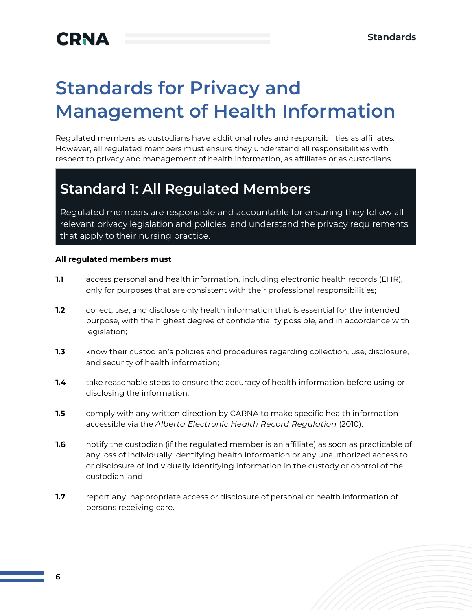# **Standards for Privacy and Management of Health Information**

Regulated members as custodians have additional roles and responsibilities as affiliates. However, all regulated members must ensure they understand all responsibilities with respect to privacy and management of health information, as affiliates or as custodians.

## **Standard 1: All Regulated Members**

Regulated members are responsible and accountable for ensuring they follow all relevant privacy legislation and policies, and understand the privacy requirements that apply to their nursing practice.

#### **All regulated members must**

- **1.1** access personal and health information, including electronic health records (EHR), only for purposes that are consistent with their professional responsibilities;
- **1.2** collect, use, and disclose only health information that is essential for the intended purpose, with the highest degree of confidentiality possible, and in accordance with legislation;
- **1.3** know their custodian's policies and procedures regarding collection, use, disclosure, and security of health information;
- **1.4** take reasonable steps to ensure the accuracy of health information before using or disclosing the information;
- **1.5** comply with any written direction by CARNA to make specific health information accessible via the *Alberta Electronic Health Record Regulation* (2010);
- **1.6** notify the custodian (if the regulated member is an affiliate) as soon as practicable of any loss of individually identifying health information or any unauthorized access to or disclosure of individually identifying information in the custody or control of the custodian; and
- **1.7** report any inappropriate access or disclosure of personal or health information of persons receiving care.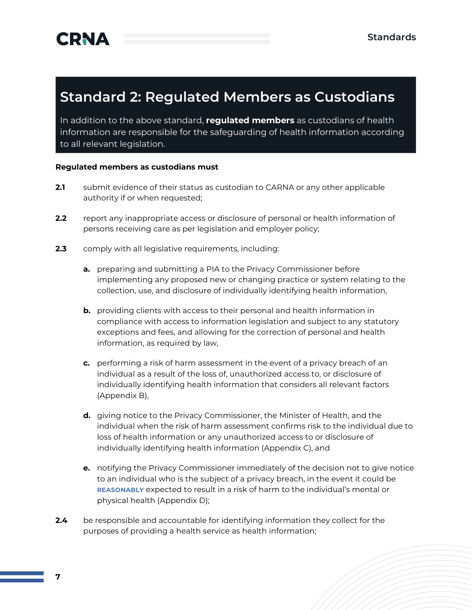### **Standard 2: Regulated Members as Custodians**

In addition to the above standard, **regulated members** as custodians of health information are responsible for the safeguarding of health information according to all relevant legislation.

#### **Regulated members as custodians must**

- **2.1** submit evidence of their status as custodian to CARNA or any other applicable authority if or when requested;
- **2.2** report any inappropriate access or disclosure of personal or health information of persons receiving care as per legislation and employer policy;
- **2.3** comply with all legislative requirements, including:
	- **a.** preparing and submitting a PIA to the Privacy Commissioner before implementing any proposed new or changing practice or system relating to the collection, use, and disclosure of individually identifying health information,
	- **b.** providing clients with access to their personal and health information in compliance with access to information legislation and subject to any statutory exceptions and fees, and allowing for the correction of personal and health information, as required by law,
	- **c.** performing a risk of harm assessment in the event of a privacy breach of an individual as a result of the loss of, unauthorized access to, or disclosure of individually identifying health information that considers all relevant factors (Appendix B),
	- **d.** giving notice to the Privacy Commissioner, the Minister of Health, and the individual when the risk of harm assessment confirms risk to the individual due to loss of health information or any unauthorized access to or disclosure of individually identifying health information (Appendix C), and
	- **e.** notifying the Privacy Commissioner immediately of the decision not to give notice to an individual who is the subject of a privacy breach, in the event it could be **REASONABLY** expected to result in a risk of harm to the individual's mental or physical health (Appendix D);
- **2.4** be responsible and accountable for identifying information they collect for the purposes of providing a health service as health information;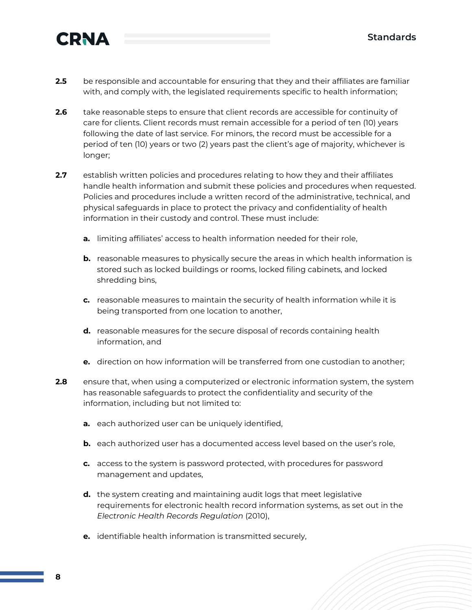

- **2.5** be responsible and accountable for ensuring that they and their affiliates are familiar with, and comply with, the legislated requirements specific to health information;
- **2.6** take reasonable steps to ensure that client records are accessible for continuity of care for clients. Client records must remain accessible for a period of ten (10) years following the date of last service. For minors, the record must be accessible for a period of ten (10) years or two (2) years past the client's age of majority, whichever is longer;
- **2.7** establish written policies and procedures relating to how they and their affiliates handle health information and submit these policies and procedures when requested. Policies and procedures include a written record of the administrative, technical, and physical safeguards in place to protect the privacy and confidentiality of health information in their custody and control. These must include:
	- **a.** limiting affiliates' access to health information needed for their role,
	- **b.** reasonable measures to physically secure the areas in which health information is stored such as locked buildings or rooms, locked filing cabinets, and locked shredding bins,
	- **c.** reasonable measures to maintain the security of health information while it is being transported from one location to another,
	- **d.** reasonable measures for the secure disposal of records containing health information, and
	- **e.** direction on how information will be transferred from one custodian to another;
- **2.8** ensure that, when using a computerized or electronic information system, the system has reasonable safeguards to protect the confidentiality and security of the information, including but not limited to:
	- **a.** each authorized user can be uniquely identified,
	- **b.** each authorized user has a documented access level based on the user's role,
	- **c.** access to the system is password protected, with procedures for password management and updates,
	- **d.** the system creating and maintaining audit logs that meet legislative requirements for electronic health record information systems, as set out in the *Electronic Health Records Regulation* (2010),
	- **e.** identifiable health information is transmitted securely,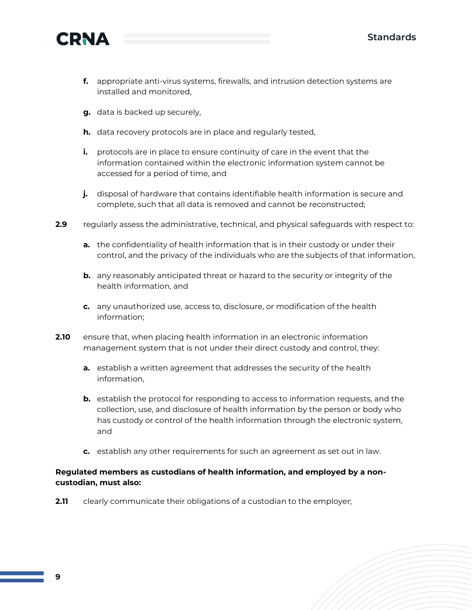

- **f.** appropriate anti-virus systems, firewalls, and intrusion detection systems are installed and monitored,
- **g.** data is backed up securely,
- **h.** data recovery protocols are in place and regularly tested,
- **i.** protocols are in place to ensure continuity of care in the event that the information contained within the electronic information system cannot be accessed for a period of time, and
- **j.** disposal of hardware that contains identifiable health information is secure and complete, such that all data is removed and cannot be reconstructed;
- **2.9** regularly assess the administrative, technical, and physical safeguards with respect to:
	- **a.** the confidentiality of health information that is in their custody or under their control, and the privacy of the individuals who are the subjects of that information,
	- **b.** any reasonably anticipated threat or hazard to the security or integrity of the health information, and
	- **c.** any unauthorized use, access to, disclosure, or modification of the health information;
- **2.10** ensure that, when placing health information in an electronic information management system that is not under their direct custody and control, they:
	- **a.** establish a written agreement that addresses the security of the health information,
	- **b.** establish the protocol for responding to access to information requests, and the collection, use, and disclosure of health information by the person or body who has custody or control of the health information through the electronic system, and
	- **c.** establish any other requirements for such an agreement as set out in law.

#### **Regulated members as custodians of health information, and employed by a noncustodian, must also:**

**2.11** clearly communicate their obligations of a custodian to the employer;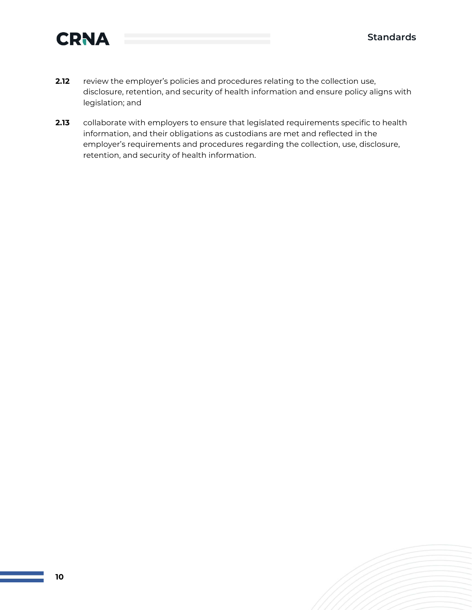

- **2.12** review the employer's policies and procedures relating to the collection use, disclosure, retention, and security of health information and ensure policy aligns with legislation; and
- **2.13** collaborate with employers to ensure that legislated requirements specific to health information, and their obligations as custodians are met and reflected in the employer's requirements and procedures regarding the collection, use, disclosure, retention, and security of health information.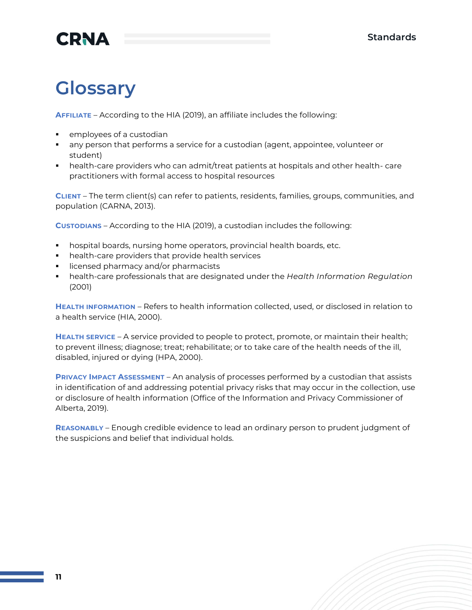# **Glossary**

**AFFILIATE** – According to the HIA (2019), an affiliate includes the following:

- employees of a custodian
- any person that performs a service for a custodian (agent, appointee, volunteer or student)
- health-care providers who can admit/treat patients at hospitals and other health- care practitioners with formal access to hospital resources

**CLIENT** – The term client(s) can refer to patients, residents, families, groups, communities, and population (CARNA, 2013).

**CUSTODIANS** – According to the HIA (2019), a custodian includes the following:

- hospital boards, nursing home operators, provincial health boards, etc.
- health-care providers that provide health services
- licensed pharmacy and/or pharmacists
- health-care professionals that are designated under the *Health Information Regulation* (2001)

**HEALTH INFORMATION** – Refers to health information collected, used, or disclosed in relation to a health service (HIA, 2000).

**HEALTH SERVICE** – A service provided to people to protect, promote, or maintain their health; to prevent illness; diagnose; treat; rehabilitate; or to take care of the health needs of the ill, disabled, injured or dying (HPA, 2000).

**PRIVACY IMPACT ASSESSMENT** – An analysis of processes performed by a custodian that assists in identification of and addressing potential privacy risks that may occur in the collection, use or disclosure of health information (Office of the Information and Privacy Commissioner of Alberta, 2019).

**REASONABLY** – Enough credible evidence to lead an ordinary person to prudent judgment of the suspicions and belief that individual holds.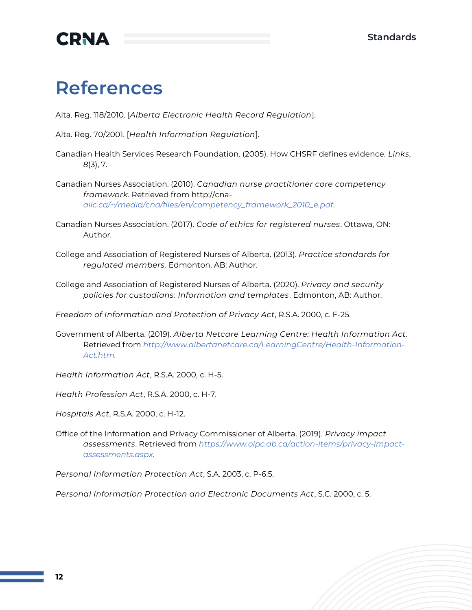

## **References**

Alta. Reg. 118/2010. [*Alberta Electronic Health Record Regulation*].

Alta. Reg. 70/2001. [*Health Information Regulation*].

Canadian Health Services Research Foundation. (2005). How CHSRF defines evidence. *Links*, *8*(3), 7.

Canadian Nurses Association. (2010). *Canadian nurse practitioner core competency framework*. Retrieved from [http://cna](http://cna-aiic.ca/~/media/cna/files/en/competency_framework_2010_e.pdf)*[aiic.ca/~/media/cna/files/en/competency\\_framework\\_2010\\_e.pdf](http://cna-aiic.ca/~/media/cna/files/en/competency_framework_2010_e.pdf)*.

- Canadian Nurses Association. (2017). *Code of ethics for registered nurses*. Ottawa, ON: Author.
- College and Association of Registered Nurses of Alberta. (2013). *Practice standards for regulated members.* Edmonton, AB: Author.

College and Association of Registered Nurses of Alberta. (2020). *Privacy and security policies for custodians: Information and templates*. Edmonton, AB: Author.

*Freedom of Information and Protection of Privacy Act*, R.S.A. 2000, c. F-25.

Government of Alberta. (2019). *Alberta Netcare Learning Centre: Health Information Act.* Retrieved from *[http://www.albertanetcare.ca/LearningCentre/Health-Information-](http://www.albertanetcare.ca/LearningCentre/Health-Information-Act.htm)[Act.htm.](http://www.albertanetcare.ca/LearningCentre/Health-Information-Act.htm)*

*Health Information Act*, R.S.A. 2000, c. H-5.

*Health Profession Act*, R.S.A. 2000, c. H-7.

*Hospitals Act*, R.S.A. 2000, c. H-12.

Office of the Information and Privacy Commissioner of Alberta. (2019). *Privacy impact assessments*. Retrieved from *[https://www.oipc.ab.ca/action-items/privacy-impact](https://www.oipc.ab.ca/action-items/privacy-impact-assessments.aspx)[assessments.aspx](https://www.oipc.ab.ca/action-items/privacy-impact-assessments.aspx)*.

*Personal Information Protection Act*, S.A. 2003, c. P-6.5.

*Personal Information Protection and Electronic Documents Act*, S.C. 2000, c. 5.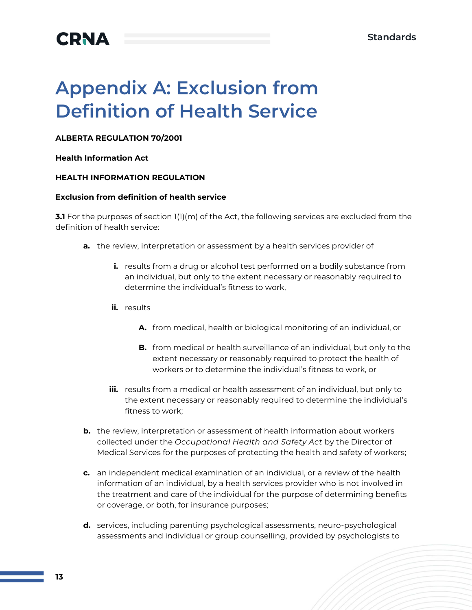

# **Appendix A: Exclusion from Definition of Health Service**

#### **ALBERTA REGULATION 70/2001**

#### **Health Information Act**

#### **HEALTH INFORMATION REGULATION**

#### **Exclusion from definition of health service**

**3.1** For the purposes of section 1(1)(m) of the Act, the following services are excluded from the definition of health service:

- **a.** the review, interpretation or assessment by a health services provider of
	- **i.** results from a drug or alcohol test performed on a bodily substance from an individual, but only to the extent necessary or reasonably required to determine the individual's fitness to work,
	- **ii.** results
		- **A.** from medical, health or biological monitoring of an individual, or
		- **B.** from medical or health surveillance of an individual, but only to the extent necessary or reasonably required to protect the health of workers or to determine the individual's fitness to work, or
	- **iii.** results from a medical or health assessment of an individual, but only to the extent necessary or reasonably required to determine the individual's fitness to work;
- **b.** the review, interpretation or assessment of health information about workers collected under the *Occupational Health and Safety Act* by the Director of Medical Services for the purposes of protecting the health and safety of workers;
- **c.** an independent medical examination of an individual, or a review of the health information of an individual, by a health services provider who is not involved in the treatment and care of the individual for the purpose of determining benefits or coverage, or both, for insurance purposes;
- **d.** services, including parenting psychological assessments, neuro-psychological assessments and individual or group counselling, provided by psychologists to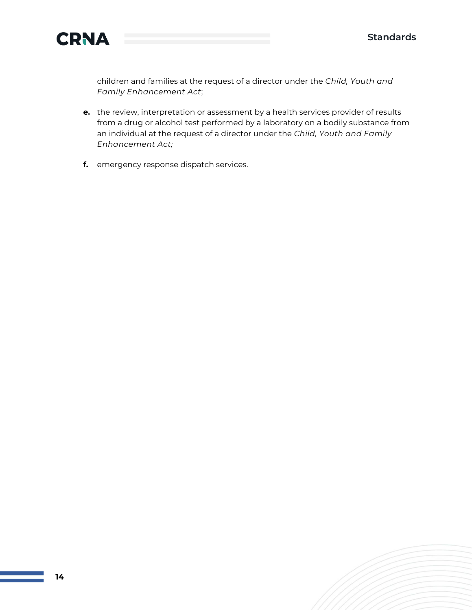

children and families at the request of a director under the *Child, Youth and Family Enhancement Act*;

- **e.** the review, interpretation or assessment by a health services provider of results from a drug or alcohol test performed by a laboratory on a bodily substance from an individual at the request of a director under the *Child, Youth and Family Enhancement Act;*
- **f.** emergency response dispatch services.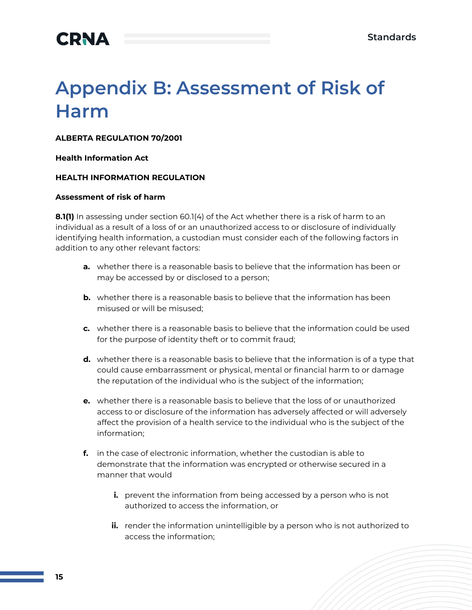

# **Appendix B: Assessment of Risk of Harm**

#### **ALBERTA REGULATION 70/2001**

#### **Health Information Act**

#### **HEALTH INFORMATION REGULATION**

#### **Assessment of risk of harm**

**8.1(1)** In assessing under section 60.1(4) of the Act whether there is a risk of harm to an individual as a result of a loss of or an unauthorized access to or disclosure of individually identifying health information, a custodian must consider each of the following factors in addition to any other relevant factors:

- **a.** whether there is a reasonable basis to believe that the information has been or may be accessed by or disclosed to a person;
- **b.** whether there is a reasonable basis to believe that the information has been misused or will be misused;
- **c.** whether there is a reasonable basis to believe that the information could be used for the purpose of identity theft or to commit fraud;
- **d.** whether there is a reasonable basis to believe that the information is of a type that could cause embarrassment or physical, mental or financial harm to or damage the reputation of the individual who is the subject of the information;
- **e.** whether there is a reasonable basis to believe that the loss of or unauthorized access to or disclosure of the information has adversely affected or will adversely affect the provision of a health service to the individual who is the subject of the information;
- **f.** in the case of electronic information, whether the custodian is able to demonstrate that the information was encrypted or otherwise secured in a manner that would
	- **i.** prevent the information from being accessed by a person who is not authorized to access the information, or
	- **ii.** render the information unintelligible by a person who is not authorized to access the information;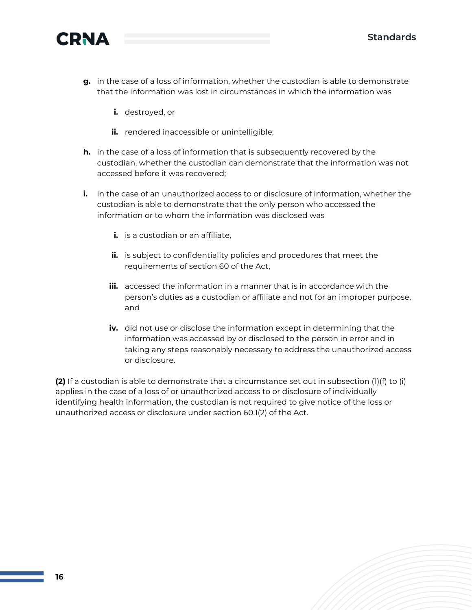



- **g.** in the case of a loss of information, whether the custodian is able to demonstrate that the information was lost in circumstances in which the information was
	- **i.** destroyed, or
	- **ii.** rendered inaccessible or unintelligible;
- **h.** in the case of a loss of information that is subsequently recovered by the custodian, whether the custodian can demonstrate that the information was not accessed before it was recovered;
- **i.** in the case of an unauthorized access to or disclosure of information, whether the custodian is able to demonstrate that the only person who accessed the information or to whom the information was disclosed was
	- **i.** is a custodian or an affiliate,
	- **ii.** is subject to confidentiality policies and procedures that meet the requirements of section 60 of the Act,
	- **iii.** accessed the information in a manner that is in accordance with the person's duties as a custodian or affiliate and not for an improper purpose, and
	- **iv.** did not use or disclose the information except in determining that the information was accessed by or disclosed to the person in error and in taking any steps reasonably necessary to address the unauthorized access or disclosure.

**(2)** If a custodian is able to demonstrate that a circumstance set out in subsection (1)(f) to (i) applies in the case of a loss of or unauthorized access to or disclosure of individually identifying health information, the custodian is not required to give notice of the loss or unauthorized access or disclosure under section 60.1(2) of the Act.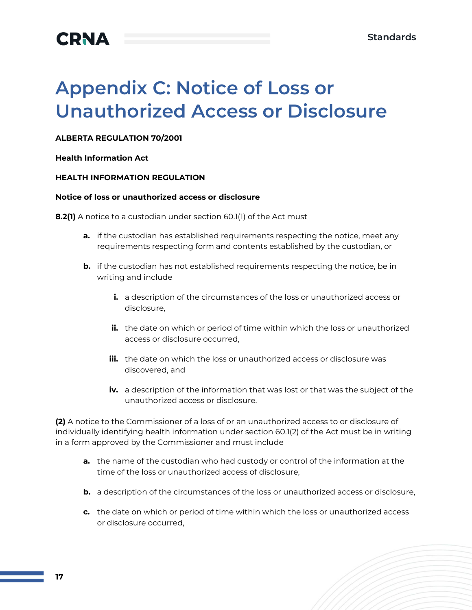

# **Appendix C: Notice of Loss or Unauthorized Access or Disclosure**

#### **ALBERTA REGULATION 70/2001**

#### **Health Information Act**

#### **HEALTH INFORMATION REGULATION**

#### **Notice of loss or unauthorized access or disclosure**

**8.2(1)** A notice to a custodian under section 60.1(1) of the Act must

- **a.** if the custodian has established requirements respecting the notice, meet any requirements respecting form and contents established by the custodian, or
- **b.** if the custodian has not established requirements respecting the notice, be in writing and include
	- **i.** a description of the circumstances of the loss or unauthorized access or disclosure,
	- **ii.** the date on which or period of time within which the loss or unauthorized access or disclosure occurred,
	- **iii.** the date on which the loss or unauthorized access or disclosure was discovered, and
	- **iv.** a description of the information that was lost or that was the subject of the unauthorized access or disclosure.

**(2)** A notice to the Commissioner of a loss of or an unauthorized access to or disclosure of individually identifying health information under section 60.1(2) of the Act must be in writing in a form approved by the Commissioner and must include

- **a.** the name of the custodian who had custody or control of the information at the time of the loss or unauthorized access of disclosure,
- **b.** a description of the circumstances of the loss or unauthorized access or disclosure,
- **c.** the date on which or period of time within which the loss or unauthorized access or disclosure occurred,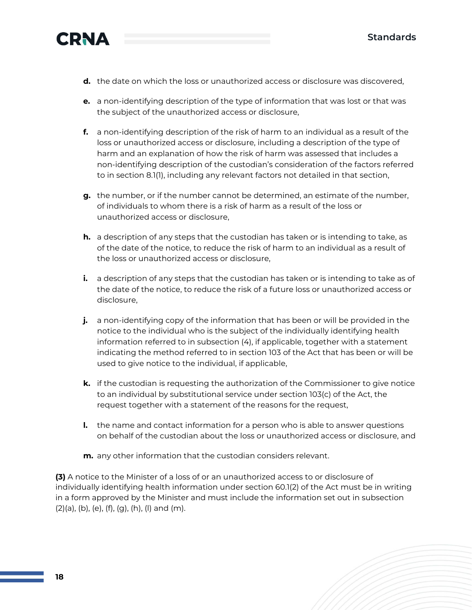

- **d.** the date on which the loss or unauthorized access or disclosure was discovered,
- **e.** a non-identifying description of the type of information that was lost or that was the subject of the unauthorized access or disclosure,
- **f.** a non-identifying description of the risk of harm to an individual as a result of the loss or unauthorized access or disclosure, including a description of the type of harm and an explanation of how the risk of harm was assessed that includes a non-identifying description of the custodian's consideration of the factors referred to in section 8.1(1), including any relevant factors not detailed in that section,
- **g.** the number, or if the number cannot be determined, an estimate of the number, of individuals to whom there is a risk of harm as a result of the loss or unauthorized access or disclosure,
- **h.** a description of any steps that the custodian has taken or is intending to take, as of the date of the notice, to reduce the risk of harm to an individual as a result of the loss or unauthorized access or disclosure,
- **i.** a description of any steps that the custodian has taken or is intending to take as of the date of the notice, to reduce the risk of a future loss or unauthorized access or disclosure,
- **j.** a non-identifying copy of the information that has been or will be provided in the notice to the individual who is the subject of the individually identifying health information referred to in subsection (4), if applicable, together with a statement indicating the method referred to in section 103 of the Act that has been or will be used to give notice to the individual, if applicable,
- **k.** if the custodian is requesting the authorization of the Commissioner to give notice to an individual by substitutional service under section 103(c) of the Act, the request together with a statement of the reasons for the request,
- **l.** the name and contact information for a person who is able to answer questions on behalf of the custodian about the loss or unauthorized access or disclosure, and
- **m.** any other information that the custodian considers relevant.

**(3)** A notice to the Minister of a loss of or an unauthorized access to or disclosure of individually identifying health information under section 60.1(2) of the Act must be in writing in a form approved by the Minister and must include the information set out in subsection  $(2)(a)$ ,  $(b)$ ,  $(e)$ ,  $(f)$ ,  $(g)$ ,  $(h)$ ,  $(l)$  and  $(m)$ .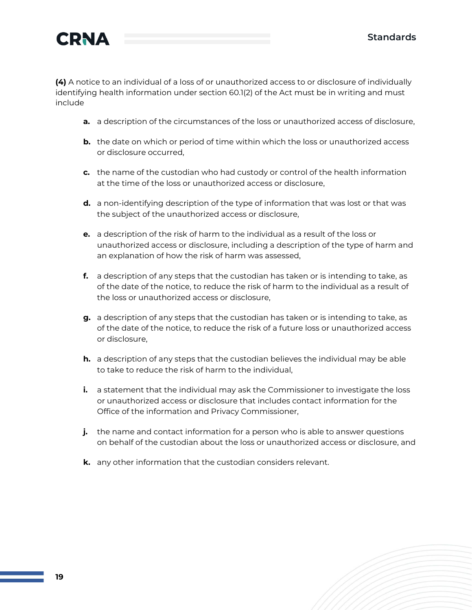**(4)** A notice to an individual of a loss of or unauthorized access to or disclosure of individually identifying health information under section 60.1(2) of the Act must be in writing and must include

- **a.** a description of the circumstances of the loss or unauthorized access of disclosure,
- **b.** the date on which or period of time within which the loss or unauthorized access or disclosure occurred,
- **c.** the name of the custodian who had custody or control of the health information at the time of the loss or unauthorized access or disclosure,
- **d.** a non-identifying description of the type of information that was lost or that was the subject of the unauthorized access or disclosure,
- **e.** a description of the risk of harm to the individual as a result of the loss or unauthorized access or disclosure, including a description of the type of harm and an explanation of how the risk of harm was assessed,
- **f.** a description of any steps that the custodian has taken or is intending to take, as of the date of the notice, to reduce the risk of harm to the individual as a result of the loss or unauthorized access or disclosure,
- **g.** a description of any steps that the custodian has taken or is intending to take, as of the date of the notice, to reduce the risk of a future loss or unauthorized access or disclosure,
- **h.** a description of any steps that the custodian believes the individual may be able to take to reduce the risk of harm to the individual,
- **i.** a statement that the individual may ask the Commissioner to investigate the loss or unauthorized access or disclosure that includes contact information for the Office of the information and Privacy Commissioner,
- **j.** the name and contact information for a person who is able to answer questions on behalf of the custodian about the loss or unauthorized access or disclosure, and
- **k.** any other information that the custodian considers relevant.